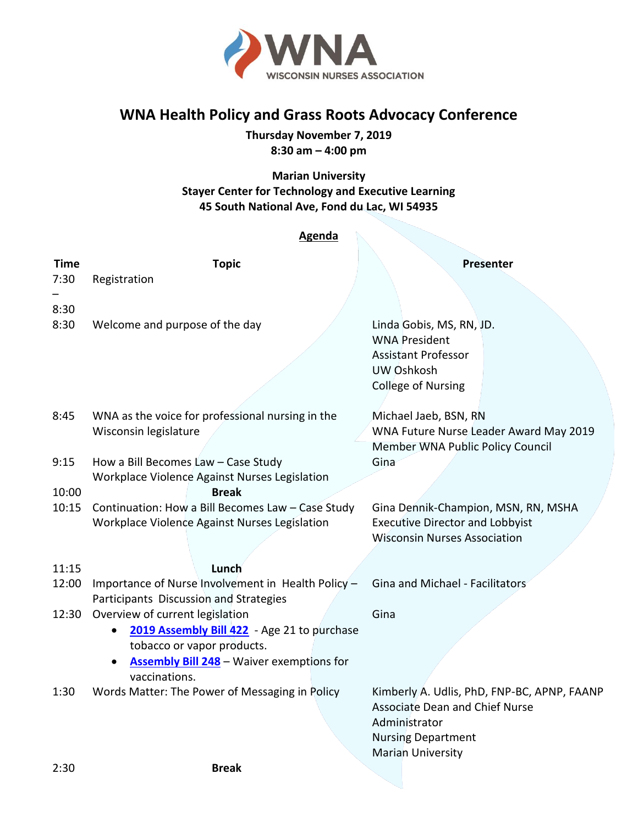

## **WNA Health Policy and Grass Roots Advocacy Conference**

**Thursday November 7, 2019 8:30 am – 4:00 pm**

**Marian University Stayer Center for Technology and Executive Learning 45 South National Ave, Fond du Lac, WI 54935**

## **Agenda**

| <b>Time</b> | <b>Topic</b>                                                                                       | Presenter                                                                     |
|-------------|----------------------------------------------------------------------------------------------------|-------------------------------------------------------------------------------|
| 7:30        | Registration                                                                                       |                                                                               |
|             |                                                                                                    |                                                                               |
| 8:30        |                                                                                                    |                                                                               |
| 8:30        | Welcome and purpose of the day                                                                     | Linda Gobis, MS, RN, JD.                                                      |
|             |                                                                                                    | <b>WNA President</b>                                                          |
|             |                                                                                                    | <b>Assistant Professor</b><br>UW Oshkosh                                      |
|             |                                                                                                    | <b>College of Nursing</b>                                                     |
|             |                                                                                                    |                                                                               |
| 8:45        | WNA as the voice for professional nursing in the                                                   | Michael Jaeb, BSN, RN                                                         |
|             | Wisconsin legislature                                                                              | WNA Future Nurse Leader Award May 2019                                        |
|             |                                                                                                    | Member WNA Public Policy Council                                              |
| 9:15        | How a Bill Becomes Law - Case Study                                                                | Gina                                                                          |
|             | Workplace Violence Against Nurses Legislation                                                      |                                                                               |
| 10:00       | <b>Break</b>                                                                                       |                                                                               |
| 10:15       | Continuation: How a Bill Becomes Law - Case Study<br>Workplace Violence Against Nurses Legislation | Gina Dennik-Champion, MSN, RN, MSHA<br><b>Executive Director and Lobbyist</b> |
|             |                                                                                                    | <b>Wisconsin Nurses Association</b>                                           |
|             |                                                                                                    |                                                                               |
| 11:15       | Lunch                                                                                              |                                                                               |
| 12:00       | Importance of Nurse Involvement in Health Policy -                                                 | Gina and Michael - Facilitators                                               |
|             | Participants Discussion and Strategies                                                             |                                                                               |
| 12:30       | Overview of current legislation                                                                    | Gina                                                                          |
|             | 2019 Assembly Bill 422 - Age 21 to purchase<br>$\bullet$                                           |                                                                               |
|             | tobacco or vapor products.                                                                         |                                                                               |
|             | <b>Assembly Bill 248</b> - Waiver exemptions for<br>$\bullet$<br>vaccinations.                     |                                                                               |
| 1:30        | Words Matter: The Power of Messaging in Policy                                                     | Kimberly A. Udlis, PhD, FNP-BC, APNP, FAANP                                   |
|             |                                                                                                    | <b>Associate Dean and Chief Nurse</b>                                         |
|             |                                                                                                    | Administrator                                                                 |
|             |                                                                                                    | <b>Nursing Department</b>                                                     |
|             |                                                                                                    | <b>Marian University</b>                                                      |
| 2:30        | <b>Break</b>                                                                                       |                                                                               |